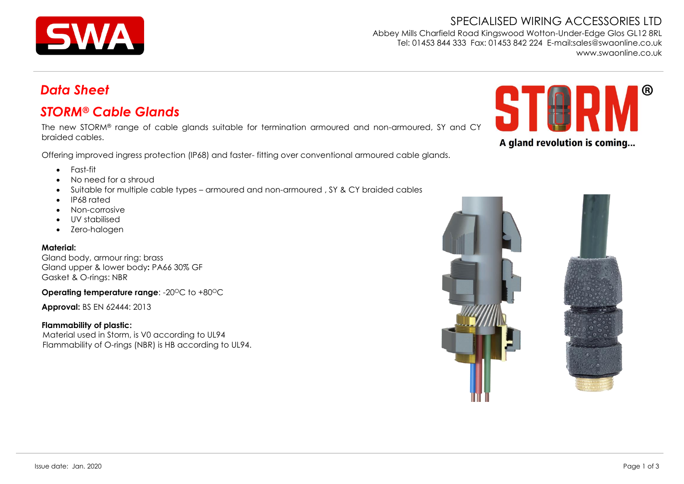

SPECIALISED WIRING ACCESSORIES LTD Abbey Mills Charfield Road Kingswood Wotton-Under-Edge Glos GL12 8RL Tel: 01453 844 333 Fax: 01453 842 224 E-mail:sales@swaonline.co.uk [www.swaonline.co.uk](http://www.swaonlione.co.uk/)

# *Data Sheet*

## *STORM® Cable Glands*

The new STORM® range of cable glands suitable for termination armoured and non-armoured, SY and CY braided cables.

Offering improved ingress protection (IP68) and faster- fitting over conventional armoured cable glands.



- Fast-fit
- No need for a shroud
- Suitable for multiple cable types armoured and non-armoured , SY & CY braided cables
- IP68 rated
- Non-corrosive
- UV stabilised
- Zero-halogen

#### **Material:**

Gland body, armour ring: brass Gland upper & lower body**:** PA66 30% GF Gasket & O-rings: NBR

**Operating temperature range: -20°C to +80°C** 

**Approval:** BS EN 62444: 2013

#### **Flammability of plastic:**

Material used in Storm, is V0 according to UL94 Flammability of O-rings (NBR) is HB according to UL94.